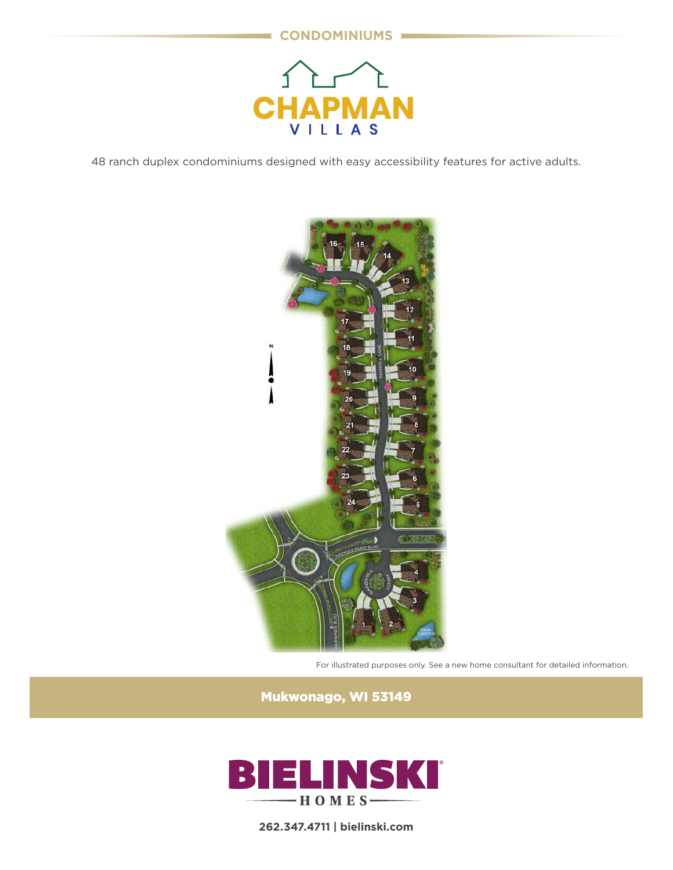m.



48 ranch duplex condominiums designed with easy accessibility features for active adults.



For illustrated purposes only. See a new home consultant for detailed information.

Mukwonago, WI 53149



**262.347.4711 | bielinski.com**